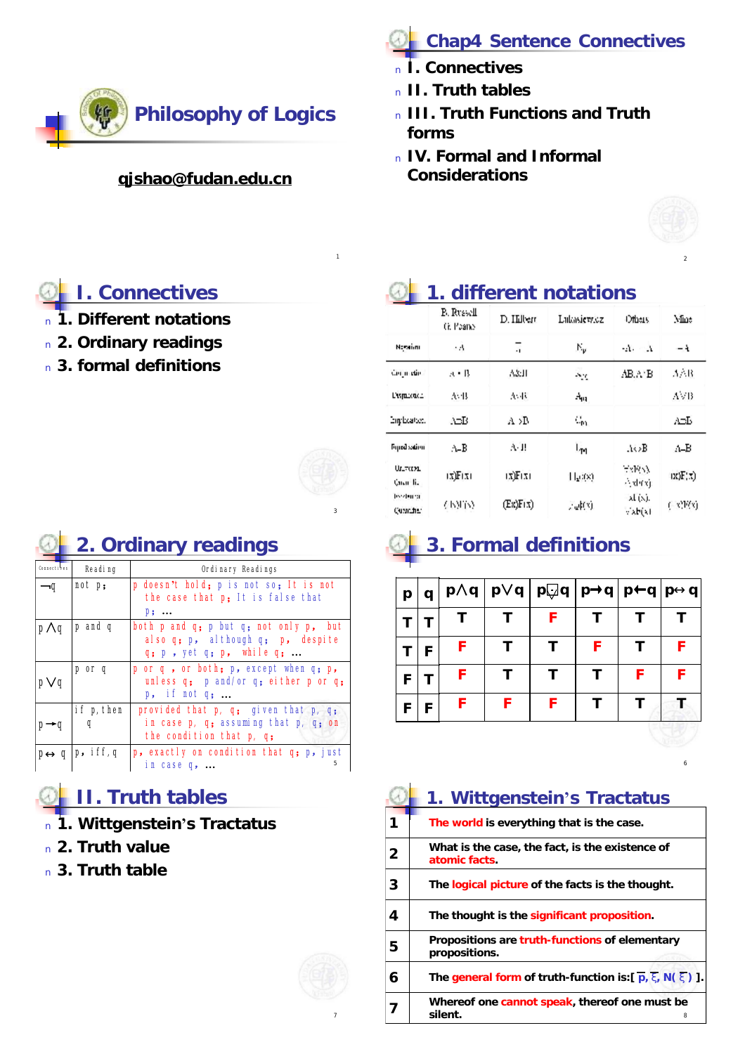

#### **[qjshao@fudan.edu.cn](mailto:qjshao@fudan.edu.cn)**



- <sup>n</sup> **I. Connectives**
- <sup>n</sup> **II. Truth tables**
- <sup>n</sup> **III. Truth Functions and Truth forms**
- <sup>n</sup> **IV. Formal and Informal Considerations**



2

#### **I. Connectives**

- <sup>n</sup> **1. Different notations**
- <sup>n</sup> **2. Ordinary readings**
- <sup>n</sup> **3. formal definitions**

|  | 3 |  |
|--|---|--|
|  |   |  |
|  |   |  |

1

# **2. Ordinary readings**

| <b>Connectives</b> | <b>Reading</b>                                                         | <b>Ordinary Readings</b>                                                                                        |   |   |     |           |                                                                    |   |   |
|--------------------|------------------------------------------------------------------------|-----------------------------------------------------------------------------------------------------------------|---|---|-----|-----------|--------------------------------------------------------------------|---|---|
| −۵                 | not $p_i$                                                              | p doesn't hold; p is not so; It is not<br>the case that p; It is false that                                     | p | q | p∧q | $p\vee q$ | $ p\overline{\downarrow}q p\rightarrow q p\leftarrow q p^{\alpha}$ |   |   |
| $p \wedge q$       | p and q                                                                | $\mathbf{p}_1$<br>both $p$ and $q$ ; $p$ but $q$ ; not only $p$ , but                                           |   |   |     |           | F                                                                  |   |   |
|                    | also q; p, although q; p, despite<br>$q; p$ , yet $q; p$ , while $q; $ |                                                                                                                 |   | F | F   |           |                                                                    | F | F |
| $p\vee q$          | p or q                                                                 | p or q, or both; p, except when q; p,<br>unless $q_1$ ; p and/or $q_2$ ; either p or $q_3$<br>$p,$ if not $q; $ | F |   | F   |           |                                                                    |   | F |
| $p\rightarrow q$   | if p,then                                                              | provided that $p, q; q$ given that $p, q; q$<br>in case $p, q$ ; assuming that $p, q$ ; on                      | F |   |     |           |                                                                    |   |   |
|                    | $ p_{\alpha} q p$ , iff,q                                              | the condition that p, q;<br>p, exactly on condition that q; p, just<br>in case $q, \ldots$                      |   |   |     |           |                                                                    |   |   |

## **II. Truth tables**

- <sup>n</sup> **1. Wittgenstein's Tractatus**
- <sup>n</sup> **2. Truth value**
- <sup>n</sup> **3. Truth table**



7

## **1. different notations**

|                        | <b>P. Russell</b><br>G. Paano | D. Hilbert | Lukasiew.cz               | Others                         | Mint                                 |
|------------------------|-------------------------------|------------|---------------------------|--------------------------------|--------------------------------------|
| Newtime                | - 4                           | ä          | $\mathbb{N}_{\mathbf{p}}$ | sata mata                      | -4                                   |
| Ger in die             | a + B                         | A&H        | Ang.                      | AB.A'B                         | AAB                                  |
| Exsprisoner:           | 杰弗                            | 大河市        | $A_{\rm H}$               |                                | AVB                                  |
| Employation.           | ΛÞΒ                           | A >B       | $c_{\rm m}$               |                                | ΛоБ                                  |
| Figual sation          | A-B                           | A-T!       | ۱۳                        | As>B                           | л-B                                  |
| University<br>Cuan lia | (x)F(x)                       | 13)F131    | $  \psi(x)  $             | $\forall x P(x)$<br>े संगच)    | $\mathbf{tx}(\mathbf{F};\mathbf{x})$ |
| leader or<br>Cunning.  | (490.92)                      | (Ex)F(x)   | 心中的                       | $\lambda$ l $(N)$ .<br>viab(a) | $(-x)$ $\bar{x}(x)$                  |

# **3. Formal definitions**

| $\mathsf{p}$ | q | $ p \wedge q   p \vee q   p \varphi q   p \rightarrow q   p \leftarrow q   p$ « q $ $ |   |   |   |   |   |
|--------------|---|---------------------------------------------------------------------------------------|---|---|---|---|---|
|              |   |                                                                                       |   |   |   |   |   |
|              | F | F                                                                                     | т | т | F | т | F |
| F            |   | F                                                                                     |   | Τ |   | F | F |
| F            | F | F                                                                                     | F | F |   |   |   |
|              |   |                                                                                       |   |   |   |   |   |

# **1. Wittgenstein's Tractatus**

|   | The world is everything that is the case.                                                |
|---|------------------------------------------------------------------------------------------|
| 2 | What is the case, the fact, is the existence of<br>atomic facts.                         |
| 3 | The logical picture of the facts is the thought.                                         |
| 4 | The thought is the significant proposition.                                              |
| 5 | Propositions are truth-functions of elementary<br>propositions.                          |
| 6 | The general form of truth-function is: $[\overline{p}, \overline{x}, N(\overline{x})]$ . |
|   | Whereof one cannot speak, thereof one must be<br>silent.                                 |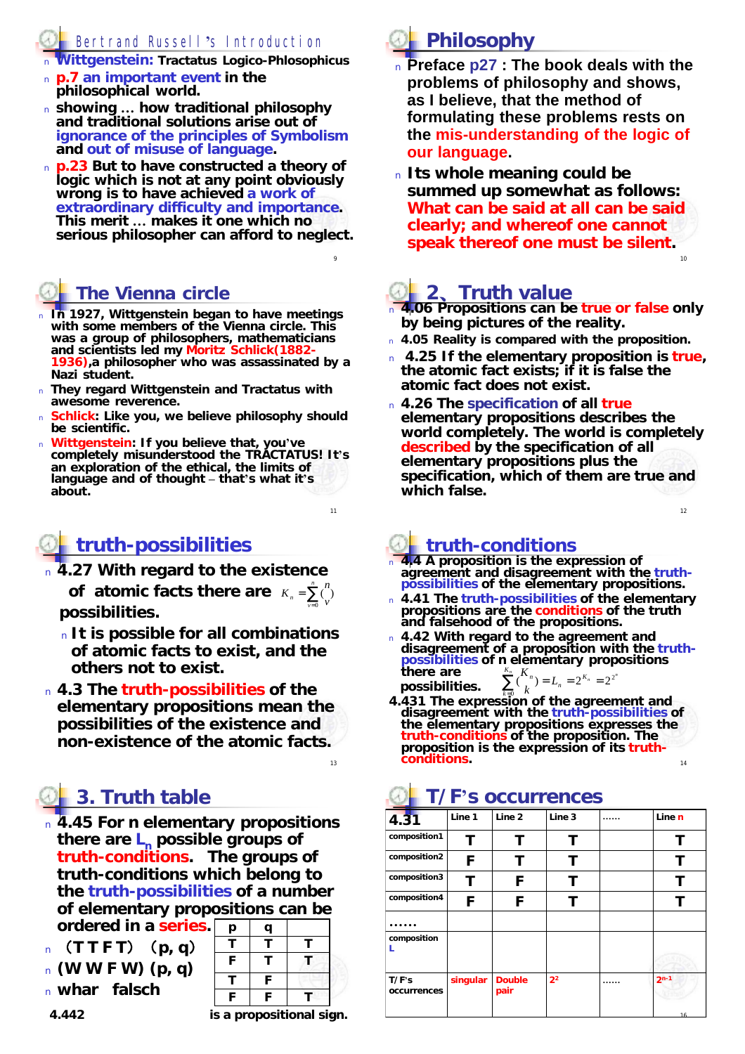#### Bertrand Russell**'**s Introduction

<sup>n</sup> **Wittgenstein: Tractatus Logico-Phlosophicus** 

- <sup>n</sup> **p.7 an important event in the philosophical world.**
- <sup>n</sup> **showing … how traditional philosophy and traditional solutions arise out of ignorance of the principles of Symbolism and out of misuse of language.**
- <sup>n</sup> **p.23 But to have constructed a theory of logic which is not at any point obviously wrong is to have achieved a work of extraordinary difficulty and importance. This merit … makes it one which no serious philosopher can afford to neglect.**

9

11

13

# **The Vienna circle**

- <sup>n</sup> **In 1927, Wittgenstein began to have meetings with some members of the Vienna circle. This was a group of philosophers, mathematicians and scientists led my Moritz Schlick(1882- 1936),a philosopher who was assassinated by a Nazi student.**
- <sup>n</sup> **They regard Wittgenstein and Tractatus with awesome reverence.**
- <sup>n</sup> **Schlick: Like you, we believe philosophy should be scientific.**
- <sup>n</sup> **Wittgenstein: If you believe that, you've completely misunderstood the TRACTATUS! It's an exploration of the ethical, the limits of language and of thought – that's what it's about.**

# **truth-possibilities**

<sup>n</sup> **4.27 With regard to the existence** 

**of atomic facts there are**  $K_n = \overset{\circ}{\underset{y_n}{\mathbf{a}}}$ **possibilities.**  $\sum_{\nu=0}^n$   $\sum_{\nu=0}^n$  $K_n = \mathop{\mathbf{A}}\limits_{\nu=0}^n {\binom{n}{\nu}}$ 

- <sup>n</sup> **It is possible for all combinations of atomic facts to exist, and the others not to exist.**
- <sup>n</sup> **4.3 The truth-possibilities of the elementary propositions mean the possibilities of the existence and non-existence of the atomic facts.**

# **3. Truth table**

- <sup>n</sup> **4.45 For** *n* **elementary propositions there are** *L<sup>n</sup>* **possible groups of truth-conditions. The groups of truth-conditions which belong to the truth-possibilities of a number of elementary propositions can be ordered in a series. p q**
- <sup>n</sup> (**T T F T**)(**p, q**)



| p | n  |  |
|---|----|--|
|   |    |  |
| F |    |  |
|   | F. |  |
| F | F  |  |
|   |    |  |

# **Philosophy**

- <sup>n</sup> **Preface p27 : The book deals with the problems of philosophy and shows, as I believe, that the method of formulating these problems rests on the mis-understanding of the logic of our language.**
- <sup>n</sup> **Its whole meaning could be summed up somewhat as follows: What can be said at all can be said clearly; and whereof one cannot speak thereof one must be silent.**

## **2**、**Truth value**

<sup>n</sup> **4.06 Propositions can be true or false only by being pictures of the reality.**

10

12

- <sup>n</sup> **4.05 Reality is compared with the proposition.**
- <sup>n</sup> **4.25 If the elementary proposition is true, the atomic fact exists; if it is false the atomic fact does not exist.**
- <sup>n</sup> **4.26 The specification of all true elementary propositions describes the world completely. The world is completely described by the specification of all elementary propositions plus the specification, which of them are true and which false.**

## **truth-conditions**

- <sup>n</sup> **4.4 A proposition is the expression of agreement and disagreement with the truthpossibilities of the elementary propositions.**
- <sup>n</sup> **4.41 The truth-possibilities of the elementary propositions are the conditions of the truth and falsehood of the propositions.**

<sup>n</sup> **4.42 With regard to the agreement and disagreement of a proposition with the truthpossibilities of** *n* **elementary propositions there are possibilities.**  $\sum_{n=0}^{K_n} K_n$ <sub>1</sub> - *I*<sub>2</sub> - 2<sup>*x<sub>n</sub>*</sup> - 2<sup>2*n*</sup></sup>  $\sum_{k=0}^{\infty} {n \choose k} = L_n$  $K_{n_{1}} = I - 2^{K_{n}} - 2^{2}$  $\binom{n}{k}$  =  $L_n$  =  $2^{K_n}$  = 2

14 **4.431 The expression of the agreement and disagreement with the truth-possibilities of the elementary propositions expresses the truth-conditions of the proposition. The proposition is the expression of its truthconditions.**  $\mathbf{0}$ =

### **T/F's occurrences**

| 4.45 For n elementary propositions                                       |                          |              | 4.31 | Line 1      | Line 2       | Line 3   | <br>Line <sub>n</sub> |                |            |
|--------------------------------------------------------------------------|--------------------------|--------------|------|-------------|--------------|----------|-----------------------|----------------|------------|
| there are $L_n$ possible groups of                                       |                          |              |      |             | composition1 |          |                       |                |            |
| truth-conditions. The groups of                                          |                          |              |      |             | composition2 | F        |                       |                |            |
| truth-conditions which belong to                                         | composition3             |              |      |             |              |          |                       |                |            |
| the truth-possibilities of a number<br>of elementary propositions can be |                          | composition4 | F    |             |              |          |                       |                |            |
|                                                                          |                          |              |      |             |              |          |                       |                |            |
| ordered in a series.                                                     | p                        | q            |      |             |              |          |                       |                |            |
| $\sqrt{(T T F T)}$ (p, q)                                                |                          |              |      |             | composition  |          |                       |                |            |
| $($ (W W F W) $(p, q)$                                                   | F                        |              |      |             |              |          |                       |                |            |
| F                                                                        |                          |              |      |             | T/F's        | singular | <b>Double</b>         | 2 <sup>2</sup> | <br>$2n-1$ |
| whar falsch                                                              | F                        | F            |      | occurrences |              |          | pair                  |                |            |
| 4.442                                                                    | is a propositional sign. |              |      |             |              |          |                       |                |            |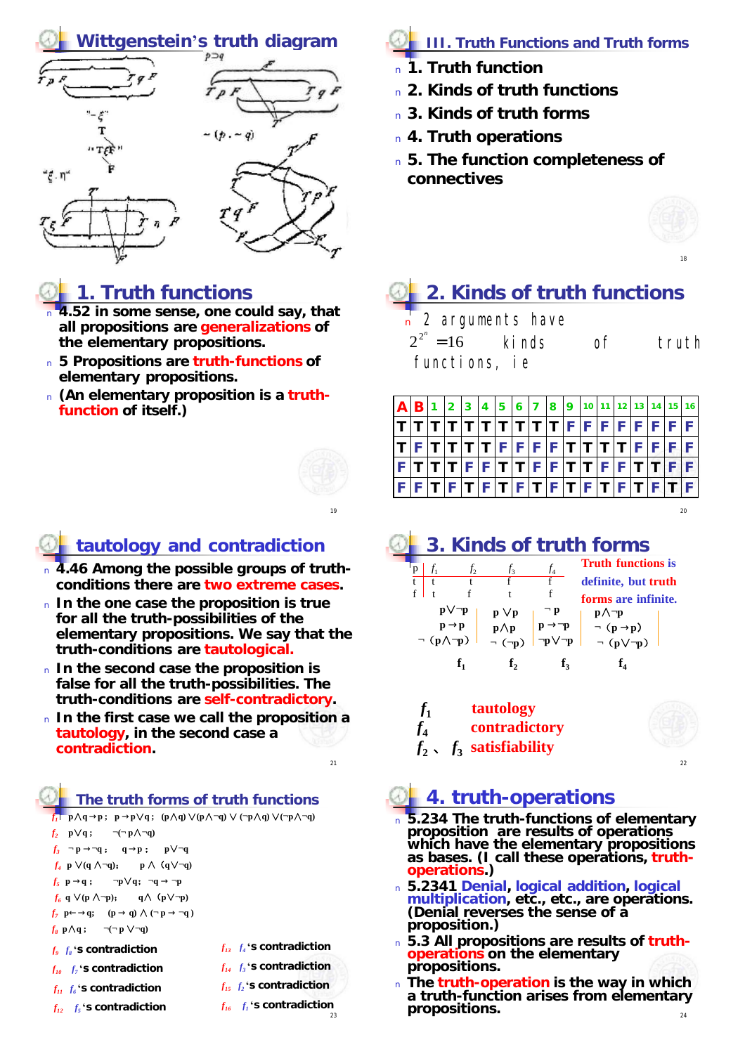#### **Wittgenstein's truth diagram**



## **1. Truth functions**

- <sup>n</sup> **4.52 in some sense, one could say, that**  *all* **propositions are generalizations of the elementary propositions.**
- <sup>n</sup> **5 Propositions are truth-functions of elementary propositions.**
- <sup>n</sup> **(An elementary proposition is a truthfunction of itself.)**



19

- <sup>n</sup> **4.46 Among the possible groups of truthconditions there are two extreme cases.**
- <sup>n</sup> **In the one case the proposition is true for all the truth-possibilities of the elementary propositions. We say that the truth-conditions are** *tautological***.**
- <sup>n</sup> **In the second case the proposition is false for all the truth-possibilities. The truth-conditions are** *self-contradictory***.**
- $21$ <sup>n</sup> **In the first case we call the proposition a tautology, in the second case a contradiction.**

#### **The truth forms of truth functions**

*f1* **p**∧**q p ; p p**∨**q ; (p**∧**q)** ∨**(p**∧**¬q)** ∨ **(¬p**∧**q)** ∨**(¬p**∧**¬q)**

 $f_2$  **p** $\forall q$ ; *<sup>2</sup>***p**∨**q ; ¬(¬ p**∧**¬q)**

- *f <sup>3</sup>* **¬ p ¬q** ; **q p** ; **p**∨**¬q**
- *f <sup>4</sup>* **p** ∨**(q** ∧**¬q)**; **p** ∧(**q**∨**¬q)**
- $f_5$  **p**  $\odot$  **<b>q** ;  $\neg$ **p** $\lor$ **q**;  $\neg$ **q**  $\odot$   $\neg$ **p**
- *f<sup>6</sup>* **q** ∨**(p** ∧**¬p)**; **q**∧(**p**∨**¬p)**
- *f*<sub>7</sub>**p**<sup>→</sup> **@ q**; (**p @ q**)</sub>  $\wedge$  ( $\neg$ **p @**  $\neg$ **q**)
- *f <sup>8</sup>***p**∧**q ; ¬(¬ p** ∨**¬q)**
- *f <sup>9</sup>f <sup>8</sup>***'s contradiction**
- *f10 f7* **'s contradiction**
- $f_{\mu}$   $f_{\delta}$  's contradiction
- $f_{12}$   $f_s$  **'s contradiction**
- $f_{13}$   $f_{4}$ <sup> $\cdot$ </sup>**s** contradiction
- *f <sup>14</sup>f <sup>3</sup>***'s contradiction**
- *f<sup>15</sup> f2* **'s contradiction**
- 23 *f16 f1* **'s contradiction**
- **III. Truth Functions and Truth forms**
	- <sup>n</sup> **1. Truth function**
	- <sup>n</sup> **2. Kinds of truth functions**
	- <sup>n</sup> **3. Kinds of truth forms**
	- <sup>n</sup> **4. Truth operations**
	- <sup>n</sup> **5. The function completeness of connectives**



18

# **2. Kinds of truth functions**

- 2 arguments have
- kinds of truth  $2^{2^n} = 16$

20

functions, ie

| ۱A  | B   | 12. | 13 | $\vert 4 \vert$ |         | $ 5 \t6 \t 7 \t8$ |                | 19. | $10$ 11 12 13 14 15     |  |     |     | 16 <sup>1</sup> |
|-----|-----|-----|----|-----------------|---------|-------------------|----------------|-----|-------------------------|--|-----|-----|-----------------|
|     |     |     |    |                 |         |                   | $ \mathsf{T} $ |     | FFFFFFFFF               |  |     |     |                 |
|     |     |     |    | $ \mathsf{T} $  |         |                   |                |     |                         |  | F E |     |                 |
| ۱E. |     |     |    |                 |         |                   |                |     | F T T F F T T F F T T F |  |     |     |                 |
|     | F T |     |    |                 | F T F T |                   |                |     | $F$ $T$ $F$ $T$ $F$ $T$ |  |     | -F. |                 |

# **3. Kinds of truth forms**



- $f_1$ **tautology**
- *f***4 contradictory**
- *f***<sup>2</sup>** 、 *f***3 satisfiability**



## **4. truth-operations**

- <sup>n</sup> **5.234 The truth-functions of elementary proposition are results of operations which have the elementary propositions as bases. (I call these operations, truthoperations.)**
- <sup>n</sup> **5.2341 Denial, logical addition, logical multiplication, etc., etc., are operations. (Denial reverses the sense of a proposition.)**
- <sup>n</sup> **5.3 All propositions are results of truthoperations on the elementary propositions.**
- <sup>n</sup> **The truth-operation is the way in which a truth-function arises from elementary propositions.**